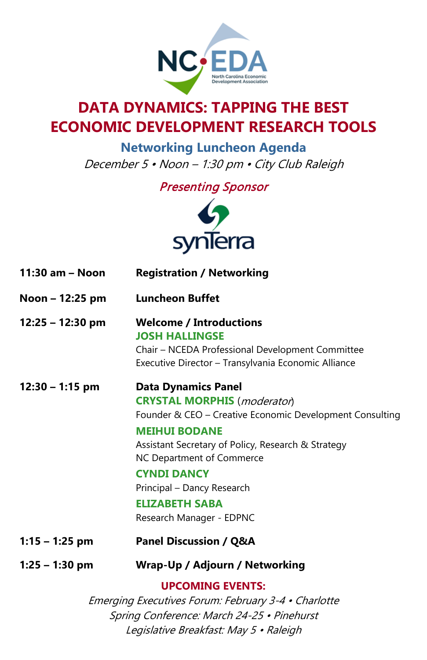

## **DATA DYNAMICS: TAPPING THE BEST ECONOMIC DEVELOPMENT RESEARCH TOOLS**

**Networking Luncheon Agenda** December 5 • Noon – 1:30 pm • City Club Raleigh

Presenting Sponsor



| 11:30 am - Noon    | <b>Registration / Networking</b>                                                                                                                                                                                                                                                                                                                          |
|--------------------|-----------------------------------------------------------------------------------------------------------------------------------------------------------------------------------------------------------------------------------------------------------------------------------------------------------------------------------------------------------|
| Noon - 12:25 pm    | <b>Luncheon Buffet</b>                                                                                                                                                                                                                                                                                                                                    |
| $12:25 - 12:30$ pm | <b>Welcome / Introductions</b><br><b>JOSH HALLINGSE</b><br>Chair - NCEDA Professional Development Committee<br>Executive Director - Transylvania Economic Alliance                                                                                                                                                                                        |
| $12:30 - 1:15$ pm  | <b>Data Dynamics Panel</b><br><b>CRYSTAL MORPHIS</b> ( <i>moderator</i> )<br>Founder & CEO - Creative Economic Development Consulting<br><b>MEIHUI BODANE</b><br>Assistant Secretary of Policy, Research & Strategy<br>NC Department of Commerce<br><b>CYNDI DANCY</b><br>Principal - Dancy Research<br><b>ELIZABETH SABA</b><br>Research Manager - EDPNC |
| $1:15 - 1:25$ pm   | <b>Panel Discussion / Q&amp;A</b>                                                                                                                                                                                                                                                                                                                         |
| $1:25 - 1:30$ pm   | Wrap-Up / Adjourn / Networking                                                                                                                                                                                                                                                                                                                            |
|                    | <b>UPCOMING EVENTS:</b><br>Emerging Executives Forum: February 3-4 • Charlotte<br>Spring Conference: March 24-25 • Pinehurst                                                                                                                                                                                                                              |

Legislative Breakfast: May 5 • Raleigh